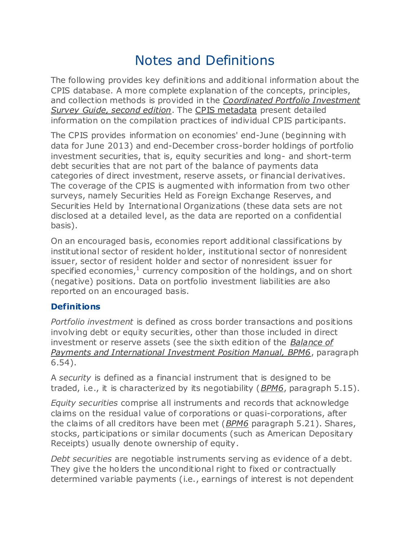# Notes and Definitions

The following provides key definitions and additional information about the CPIS database. A more complete explanation of the concepts, principles, and collection methods is provided in the *[Coordinated Portfolio Investment](http://www.imf.org/external/np/sta/pi/cpisgd.htm)  [Survey Guide, second edition](http://www.imf.org/external/np/sta/pi/cpisgd.htm)*. The [CPIS metadata](http://cpis.imf.org/CountryMT.aspx) present detailed information on the compilation practices of individual CPIS participants.

The CPIS provides information on economies' end-June (beginning with data for June 2013) and end-December cross-border holdings of portfolio investment securities, that is, equity securities and long- and short-term debt securities that are not part of the balance of payments data categories of direct investment, reserve assets, or financial derivatives. The coverage of the CPIS is augmented with information from two other surveys, namely Securities Held as Foreign Exchange Reserves, and Securities Held by International Organizations (these data sets are not disclosed at a detailed level, as the data are reported on a confidential basis).

On an encouraged basis, economies report additional classifications by institutional sector of resident holder, institutional sector of nonresident issuer, sector of resident holder and sector of nonresident issuer for specified economies, $^1$  currency composition of the holdings, and on short (negative) positions. Data on portfolio investment liabilities are also reported on an encouraged basis.

## **Definitions**

*Portfolio investment* is defined as cross border transactions and positions involving debt or equity securities, other than those included in direct investment or reserve assets (see the sixth edition of the *[Balance of](http://www.imf.org/external/pubs/ft/bop/2007/bopman6.htm)  [Payments and International Investment Position Manual, BPM6](http://www.imf.org/external/pubs/ft/bop/2007/bopman6.htm)*, paragraph 6.54).

A *security* is defined as a financial instrument that is designed to be traded, i.e., it is characterized by its negotiability (*[BPM6](http://www.imf.org/external/pubs/ft/bop/2007/bopman6.htm)*, paragraph 5.15).

*Equity securities* comprise all instruments and records that acknowledge claims on the residual value of corporations or quasi-corporations, after the claims of all creditors have been met (*[BPM6](http://www.imf.org/external/pubs/ft/bop/2007/bopman6.htm)* paragraph 5.21). Shares, stocks, participations or similar documents (such as American Depositary Receipts) usually denote ownership of equity.

*Debt securities* are negotiable instruments serving as evidence of a debt. They give the holders the unconditional right to fixed or contractually determined variable payments (i.e., earnings of interest is not dependent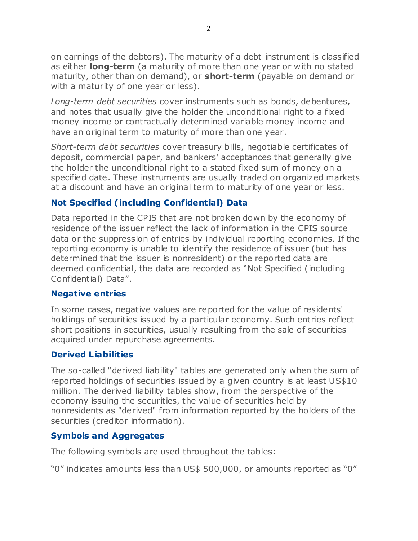on earnings of the debtors). The maturity of a debt instrument is classified as either **long-term** (a maturity of more than one year or with no stated maturity, other than on demand), or **short-term** (payable on demand or with a maturity of one year or less).

*Long-term debt securities* cover instruments such as bonds, debentures, and notes that usually give the holder the unconditional right to a fixed money income or contractually determined variable money income and have an original term to maturity of more than one year.

*Short-term debt securities* cover treasury bills, negotiable certificates of deposit, commercial paper, and bankers' acceptances that generally give the holder the unconditional right to a stated fixed sum of money on a specified date. These instruments are usually traded on organized markets at a discount and have an original term to maturity of one year or less.

## **Not Specified (including Confidential) Data**

Data reported in the CPIS that are not broken down by the economy of residence of the issuer reflect the lack of information in the CPIS source data or the suppression of entries by individual reporting economies. If the reporting economy is unable to identify the residence of issuer (but has determined that the issuer is nonresident) or the reported data are deemed confidential, the data are recorded as "Not Specified (including Confidential) Data".

#### **Negative entries**

In some cases, negative values are reported for the value of residents' holdings of securities issued by a particular economy. Such entries reflect short positions in securities, usually resulting from the sale of securities acquired under repurchase agreements.

#### **Derived L iabilities**

The so-called "derived liability" tables are generated only when the sum of reported holdings of securities issued by a given country is at least US\$10 million. The derived liability tables show, from the perspective of the economy issuing the securities, the value of securities held by nonresidents as "derived" from information reported by the holders of the securities (creditor information).

## **Symbols and Aggregates**

The following symbols are used throughout the tables:

"0" indicates amounts less than US\$ 500,000, or amounts reported as "0"